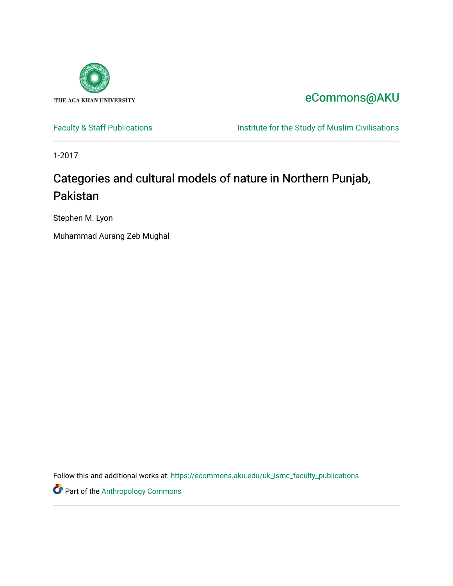

[eCommons@AKU](https://ecommons.aku.edu/) 

[Faculty & Staff Publications](https://ecommons.aku.edu/uk_ismc_faculty_publications) **Institute for the Study of Muslim Civilisations** 

1-2017

# Categories and cultural models of nature in Northern Punjab, Pakistan

Stephen M. Lyon

Muhammad Aurang Zeb Mughal

Follow this and additional works at: [https://ecommons.aku.edu/uk\\_ismc\\_faculty\\_publications](https://ecommons.aku.edu/uk_ismc_faculty_publications?utm_source=ecommons.aku.edu%2Fuk_ismc_faculty_publications%2F17&utm_medium=PDF&utm_campaign=PDFCoverPages)

**Part of the [Anthropology Commons](http://network.bepress.com/hgg/discipline/318?utm_source=ecommons.aku.edu%2Fuk_ismc_faculty_publications%2F17&utm_medium=PDF&utm_campaign=PDFCoverPages)**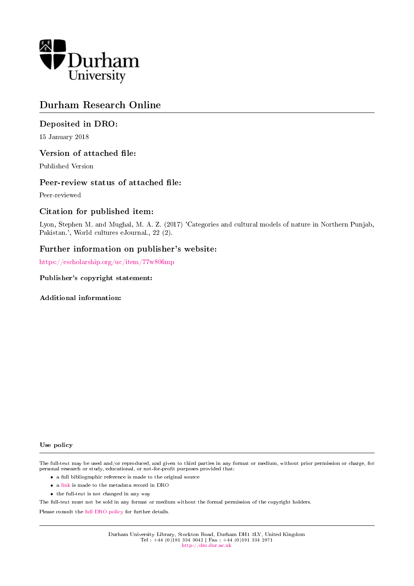

# Durham Research Online

# Deposited in DRO:

15 January 2018

# Version of attached file:

Published Version

#### Peer-review status of attached file:

Peer-reviewed

# Citation for published item:

Lyon, Stephen M. and Mughal, M. A. Z. (2017) 'Categories and cultural models of nature in Northern Punjab, Pakistan.', World cultures eJournal., 22 (2).

# Further information on publisher's website:

<https://escholarship.org/uc/item/77w806mp>

#### Publisher's copyright statement:

Additional information:

#### Use policy

The full-text may be used and/or reproduced, and given to third parties in any format or medium, without prior permission or charge, for personal research or study, educational, or not-for-profit purposes provided that:

- a full bibliographic reference is made to the original source
- a [link](http://dro.dur.ac.uk/23865/) is made to the metadata record in DRO
- the full-text is not changed in any way

The full-text must not be sold in any format or medium without the formal permission of the copyright holders.

Please consult the [full DRO policy](http://dro.dur.ac.uk/policies/usepolicy.pdf) for further details.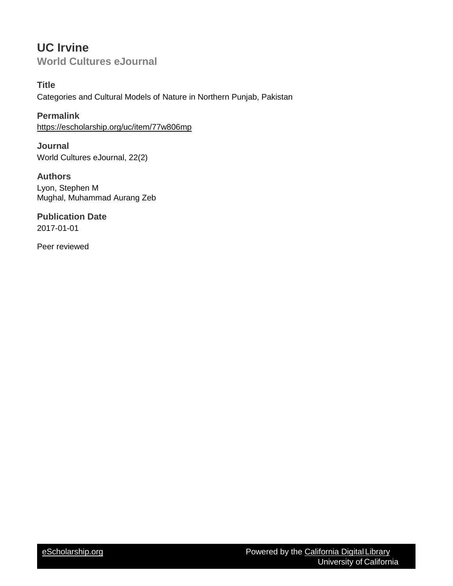# **UC Irvine World Cultures eJournal**

**Title** Categories and Cultural Models of Nature in Northern Punjab, Pakistan

**Permalink** <https://escholarship.org/uc/item/77w806mp>

**Journal** World Cultures eJournal, 22(2)

**Authors** Lyon, Stephen M Mughal, Muhammad Aurang Zeb

**Publication Date** 2017-01-01

Peer reviewed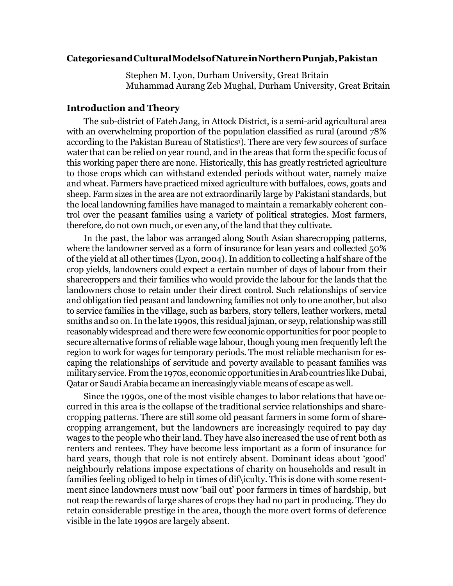#### **CategoriesandCulturalModelsofNatureinNorthernPunjab,Pakistan**

Stephen M. Lyon, Durham University, Great Britain Muhammad Aurang Zeb Mughal, Durham University, Great Britain

#### **Introduction and Theory**

The sub-district of Fateh Jang, in Attock District, is a semi-arid agricultural area with an overwhelming proportion of the population classified as rural (around 78% according to the Paki[s](#page-17-0)tan Bureau of Statistics<sup>1</sup>). There are very few sources of surface water that can be relied on year round, and in the areas that form the specific focus of this working paper there are none. Historically, this has greatly restricted agriculture to those crops which can withstand extended periods without water, namely maize and wheat. Farmers have practiced mixed agriculture with buffaloes, cows, goats and sheep. Farm sizes in the area are not extraordinarily large by Pakistani standards, but the local landowning families have managed to maintain a remarkably coherent control over the peasant families using a variety of political strategies. Most farmers, therefore, do not own much, or even any, of the land that they cultivate.

In the past, the labor was arranged along South Asian sharecropping patterns, where the landowner served as a form of insurance for lean years and collected 50% of the yield at all other times (Lyon, 2004).In addition to collecting a half share of the crop yields, landowners could expect a certain number of days of labour from their sharecroppers and their families who would provide the labour for the lands that the landowners chose to retain under their direct control. Such relationships of service and obligation tied peasant and landowning families not only to one another, but also to service families in the village, such as barbers, story tellers, leather workers, metal smiths and so on. In the late 1990s, this residual jajman, or seyp, relationship was still reasonably widespread and there were few economic opportunities for poor people to secure alternative forms of reliable wage labour, though young men frequently left the region to work for wages for temporary periods. The most reliable mechanism for escaping the relationships of servitude and poverty available to peasant families was military service. From the 1970s, economic opportunities in Arab countries like Dubai, Qatar or Saudi Arabia became an increasingly viable means of escape as well.

Since the 1990s, one of the most visible changes to labor relations that have occurred in this area is the collapse of the traditional service relationships and sharecropping patterns. There are still some old peasant farmers in some form of sharecropping arrangement, but the landowners are increasingly required to pay day wages to the people who their land. They have also increased the use of rent both as renters and rentees. They have become less important as a form of insurance for hard years, though that role is not entirely absent. Dominant ideas about 'good' neighbourly relations impose expectations of charity on households and result in families feeling obliged to help in times of dif\iculty. This is done with some resentment since landowners must now 'bail out' poor farmers in times of hardship, but not reap the rewards of large shares of crops they had no part in producing. They do retain considerable prestige in the area, though the more overt forms of deference visible in the late 1990s are largely absent.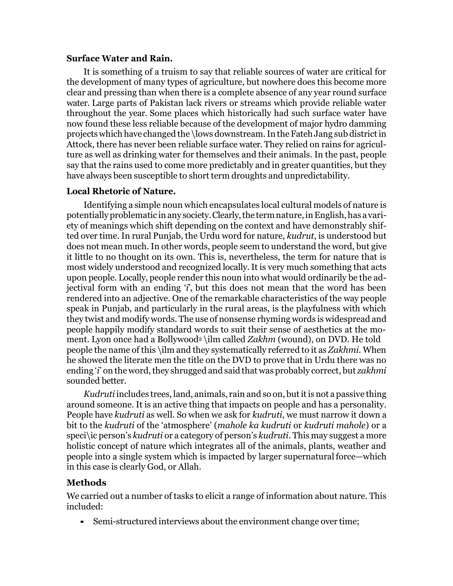# **Surface Water and Rain.**

It is something of a truism to say that reliable sources of water are critical for the development of many types of agriculture, but nowhere does this become more clear and pressing than when there is a complete absence of any year round surface water. Large parts of Pakistan lack rivers or streams which provide reliable water throughout the year. Some places which historically had such surface water have now found these less reliable because of the development of major hydro damming projectswhich have changed the \lows downstream.In theFatehJang subdistrictin Attock, there has never been reliable surface water. They relied on rains for agriculture as well as drinking water for themselves and their animals. In the past, people say that the rains used to come more predictably and in greater quantities, but they have always been susceptible to short term droughts and unpredictability.

# **Local Rhetoric of Nature.**

Identifying a simple noun which encapsulates local cultural models of nature is potentially problematic in any society. Clearly, the term nature, in English, has a variety of meanings which shift depending on the context and have demonstrably shifted over time. In rural Punjab, the Urdu word for nature, *kudrut*, is understood but does not mean much.In other words, people seem to understand the word, but give it little to no thought on its own. This is, nevertheless, the term for nature that is most widely understood and recognized locally.It is very much something that acts upon people. Locally, people render this noun into what would ordinarily be the adjectival form with an ending '*i*', but this does not mean that the word has been rendered into an adjective. One of the remarkable characteristics of the way people speak in Punjab, and particularly in the rural areas, is the playfulness with which they twist and modify words. The use of nonsense rhyming words is widespread and people happily modify standard words to suit their sense of aesthetics at the moment. Lyon once had a Bollywood[2](#page-17-1) \ilm called *Zakhm* (wound), on DVD. He told people the name of this \ilm and they systematically referred to it as *Zakhmi.* When he showed the literate men the title on the DVD to prove that in Urdu there was no ending '*i*' on the word, they shrugged and said that was probably correct, but *zakhmi* sounded better.

*Kudruti* includes trees, land, animals, rain and so on, butitis not a passive thing around someone. It is an active thing that impacts on people and has a personality. People have *kudruti* as well. So when we ask for *kudruti*, we must narrow it down a bit to the *kudruti* of the 'atmosphere' (*mahole ka kudruti* or *kudruti mahole*) or a speci\ic person's *kudruti* or a category of person's *kudruti*. This may suggest a more holistic concept of nature which integrates all of the animals, plants, weather and people into a single system which is impacted by larger supernatural force—which in this case is clearly God, or Allah.

# **Methods**

We carried out a number of tasks to elicit a range of information about nature. This included:

▪ Semi-structured interviews about the environment change over time;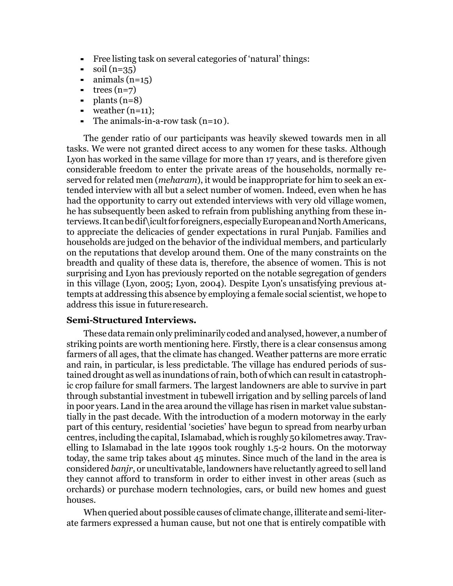- Free listing task on several categories of 'natural' things:
- $\text{ }$  soil (n=35)
- $\blacksquare$  animals (n=15)
- $\text{+}$  trees (n=7)
- $\blacksquare$  plants (n=8)
- $\blacksquare$  weather  $(n=11)$ :
- The animals-in-a-row task  $(n=10)$ .

The gender ratio of our participants was heavily skewed towards men in all tasks. We were not granted direct access to any women for these tasks. Although Lyon has worked in the same village for more than 17 years, and is therefore given considerable freedom to enter the private areas of the households, normally reserved for related men (*meharam*), it would be inappropriate for him to seek an extended interview with all but a select number of women. Indeed, even when he has had the opportunity to carry out extended interviews with very old village women, he has subsequently been asked to refrain from publishing anything from these interviews.It canbedif\icultfor foreigners,especiallyEuropeanandNorthAmericans, to appreciate the delicacies of gender expectations in rural Punjab. Families and households are judged on the behavior of the individual members, and particularly on the reputations that develop around them. One of the many constraints on the breadth and quality of these data is, therefore, the absence of women. This is not surprising and Lyon has previously reported on the notable segregation of genders in this village (Lyon, 2005; Lyon, 2004). Despite Lyon's unsatisfying previous attempts at addressing this absence by employing a female social scientist, we hope to address this issue in futureresearch.

# **Semi-Structured Interviews.**

These data remain only preliminarily coded and analysed, however, a number of striking points are worth mentioning here. Firstly, there is a clear consensus among farmers of all ages, that the climate has changed. Weather patterns are more erratic and rain, in particular, is less predictable. The village has endured periods of sustained drought as well as inundations of rain, both of which can result in catastrophic crop failure for small farmers. The largest landowners are able to survive in part through substantial investment in tubewell irrigation and by selling parcels of land in poor years. Land in the area around the village has risen in market value substantially in the past decade. With the introduction of a modern motorway in the early part of this century, residential 'societies' have begun to spread from nearbyurban centres, including the capital, Islamabad, which is roughly 50 kilometres away. Travelling to Islamabad in the late 1990s took roughly 1.5-2 hours. On the motorway today, the same trip takes about 45 minutes. Since much of the land in the area is considered *banjr*, or uncultivatable, landowners have reluctantly agreed to sell land they cannot afford to transform in order to either invest in other areas (such as orchards) or purchase modern technologies, cars, or build new homes and guest houses.

When queried about possible causes of climate change, illiterate and semi-literate farmers expressed a human cause, but not one that is entirely compatible with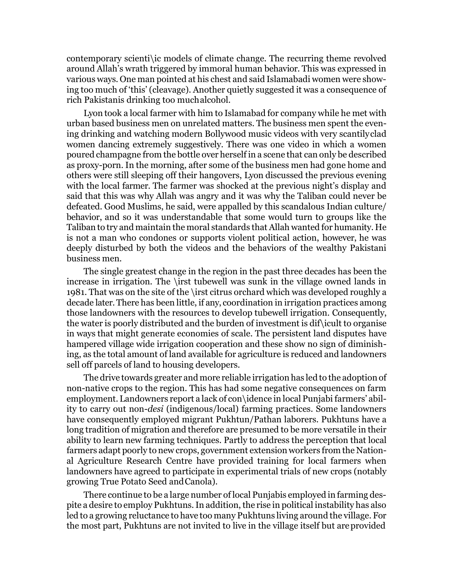contemporary scienti\ic models of climate change. The recurring theme revolved around Allah's wrath triggered by immoral human behavior. This was expressed in various ways. One man pointed at his chest and said Islamabadi women were showing too much of 'this' (cleavage). Another quietly suggested it was a consequence of rich Pakistanis drinking too muchalcohol.

Lyon took a local farmer with him to Islamabad for company while he met with urban based business men on unrelated matters. The business men spent the evening drinking and watching modern Bollywood music videos with very scantilyclad women dancing extremely suggestively. There was one video in which a women poured champagne from the bottle over herself in a scene that can only be described as proxy-porn. In the morning, after some of the business men had gone home and others were still sleeping off their hangovers, Lyon discussed the previous evening with the local farmer. The farmer was shocked at the previous night's display and said that this was why Allah was angry and it was why the Taliban could never be defeated. Good Muslims, he said, were appalled by this scandalous Indian culture/ behavior, and so it was understandable that some would turn to groups like the Taliban to try and maintain the moral standards that Allah wanted for humanity. He is not a man who condones or supports violent political action, however, he was deeply disturbed by both the videos and the behaviors of the wealthy Pakistani business men.

The single greatest change in the region in the past three decades has been the increase in irrigation. The \irst tubewell was sunk in the village owned lands in 1981. That was on the site of the \irst citrus orchard which was developed roughly a decade later. There has been little, if any, coordination in irrigation practices among those landowners with the resources to develop tubewell irrigation. Consequently, the water is poorly distributed and the burden of investment is dif\icult to organise in ways that might generate economies of scale. The persistent land disputes have hampered village wide irrigation cooperation and these show no sign of diminishing, as the total amount of land available for agriculture is reduced and landowners sell off parcels of land to housing developers.

The drive towards greater and more reliable irrigation has led to the adoption of non-native crops to the region. This has had some negative consequences on farm employment. Landowners report a lack of con\idence in local Punjabi farmers' ability to carry out non-*desi* (indigenous/local) farming practices. Some landowners have consequently employed migrant Pukhtun/Pathan laborers. Pukhtuns have a long tradition of migration and therefore are presumed to be more versatile in their ability to learn new farming techniques. Partly to address the perception that local farmers adapt poorly to new crops, government extension workers from the National Agriculture Research Centre have provided training for local farmers when landowners have agreed to participate in experimental trials of new crops (notably growing True Potato Seed andCanola).

There continue to be a large number of local Punjabis employed in farming despite a desire to employ Pukhtuns. In addition, the rise in political instability has also led to a growing reluctance to have too many Pukhtuns living around the village. For the most part, Pukhtuns are not invited to live in the village itself but areprovided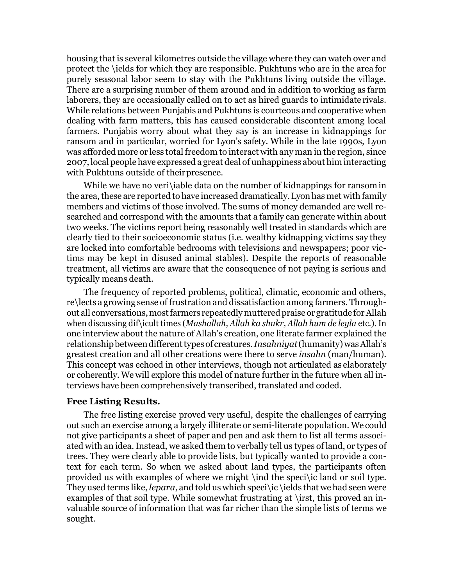housing that is several kilometres outside the village where they can watch over and protect the \ields for which they are responsible. Pukhtuns who are in the area for purely seasonal labor seem to stay with the Pukhtuns living outside the village. There are a surprising number of them around and in addition to working as farm laborers, they are occasionally called on to act as hired guards to intimidate rivals. While relations between Punjabis and Pukhtuns is courteous and cooperative when dealing with farm matters, this has caused considerable discontent among local farmers. Punjabis worry about what they say is an increase in kidnappings for ransom and in particular, worried for Lyon's safety. While in the late 1990s, Lyon was afforded more or less total freedom to interact with any man in the region, since 2007, local people have expressed a great deal of unhappiness about him interacting with Pukhtuns outside of theirpresence.

While we have no verisiable data on the number of kidnappings for ransom in the area, these are reported to have increased dramatically. Lyon has met with family members and victims of those involved. The sums of money demanded are well researched and correspond with the amounts that a family can generate within about two weeks. The victims report being reasonably well treated in standards which are clearly tied to their socioeconomic status (i.e. wealthy kidnapping victims say they are locked into comfortable bedrooms with televisions and newspapers; poor victims may be kept in disused animal stables). Despite the reports of reasonable treatment, all victims are aware that the consequence of not paying is serious and typically means death.

The frequency of reported problems, political, climatic, economic and others, re\lects a growing sense of frustration and dissatisfaction among farmers. Throughout all conversations, most farmers repeatedly muttered praise or gratitude for Allah when discussing dif\icult times (*Mashallah, Allah ka shukr, Allah hum de leyla* etc.). In one interview about the nature of Allah's creation, one literate farmer explained the relationship between different types of creatures. *Insahniyat* (humanity) was Allah's greatest creation and all other creations were there to serve *insahn* (man/human). This concept was echoed in other interviews, though not articulated as elaborately or coherently. We will explore this model of nature further in the future when all interviews have been comprehensively transcribed, translated and coded.

#### **Free Listing Results.**

The free listing exercise proved very useful, despite the challenges of carrying out such an exercise among a largely illiterate or semi-literate population. We could not give participants a sheet of paper and pen and ask them to list all terms associated with an idea.Instead, we asked them to verbally tell us types of land, or types of trees. They were clearly able to provide lists, but typically wanted to provide a context for each term. So when we asked about land types, the participants often provided us with examples of where we might \ind the speci\ic land or soil type. They used terms like, *lepara*, and told us which speci\ic \ields that we had seen were examples of that soil type. While somewhat frustrating at \irst, this proved an invaluable source of information that was far richer than the simple lists of terms we sought.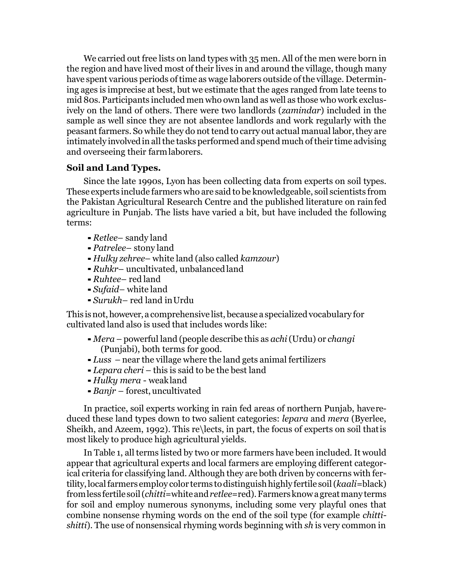We carried out free lists on land types with 35 men. All of the men were born in the region and have lived most of their lives in and around the village, though many have spent various periods of time as wage laborers outside of the village. Determining ages is imprecise at best, but we estimate that the ages ranged from late teens to mid 80s. Participants included men who own land as well as those who work exclusively on the land of others. There were two landlords (*zamindar*) included in the sample as well since they are not absentee landlords and work regularly with the peasant farmers. So while they do not tend to carry out actual manual labor,they are intimately involved in all the tasks performed and spend much of their time advising and overseeing their farmlaborers.

# **Soil and Land Types.**

Since the late 1990s, Lyon has been collecting data from experts on soil types. These experts include farmers who are said to be knowledgeable, soil scientists from the Pakistan Agricultural Research Centre and the published literature on rainfed agriculture in Punjab. The lists have varied a bit, but have included the following terms:

- *Retlee* sandy land
- ▪*Patrelee* stony land
- *Hulky zehree* white land (also called *kamzour*)
- *Ruhkr* uncultivated, unbalancedland
- *Ruhtee* red land
- *Sufaid–* white land
- *Surukh–* red land inUrdu

This is not, however, a comprehensive list, because a specialized vocabulary for cultivated land also is used that includes words like:

- ▪*Mera* powerful land (people describe this as *achi*(Urdu) or *changi* (Punjabi), both terms for good.
- ▪*Luss* near the village where the land gets animal fertilizers
- *Lepara cheri* this is said to be the best land
- *Hulky mera*  weakland
- ▪*Banjr*  forest, uncultivated

In practice, soil experts working in rain fed areas of northern Punjab, havereduced these land types down to two salient categories: *lepara* and *mera* (Byerlee, Sheikh, and Azeem, 1992). This re\lects, in part, the focus of experts on soil thatis most likely to produce high agricultural yields.

In Table 1, all terms listed by two or more farmers have been included. It would appear that agricultural experts and local farmers are employing different categorical criteria for classifying land. Although they are both driven by concerns with fertility,localfarmers employ color terms todistinguishhighly fertile soil(*kaali=*black) fromless fertilesoil(*chitti*=whiteand*retlee*=red).Farmersknowagreatmany terms for soil and employ numerous synonyms, including some very playful ones that combine nonsense rhyming words on the end of the soil type (for example *chittishitti*). The use of nonsensical rhyming words beginning with *sh* is very common in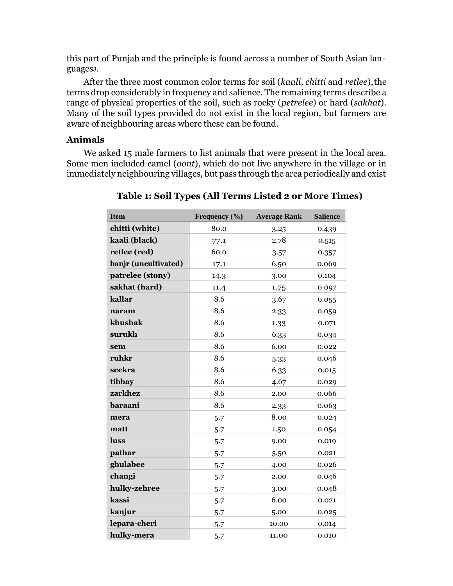this part of Punjab and the principle is found across a number of South Asian languages[3](#page-17-2).

After the three most common color terms for soil (*kaali, chitti* and *retlee*),the terms drop considerably in frequency and salience. The remaining terms describe a range of physical properties of the soil, such as rocky (*petrelee*) or hard (*sakhat*). Many of the soil types provided do not exist in the local region, but farmers are aware of neighbouring areas where these can be found.

# **Animals**

We asked 15 male farmers to list animals that were present in the local area. Some men included camel (*oont*), which do not live anywhere in the village or in immediately neighbouring villages, but pass through the area periodically and exist

| <b>Item</b>          | Frequency (%) | <b>Average Rank</b> | <b>Salience</b> |
|----------------------|---------------|---------------------|-----------------|
| chitti (white)       | 80.0          | 3.25                | 0.439           |
| kaali (black)        | 77.1          | 2.78                | 0.515           |
| retlee (red)         | 60.0          | 3.57                | 0.357           |
| banjr (uncultivated) | 17.1          | 6.50                | 0.069           |
| patrelee (stony)     | 14.3          | 3.00                | 0.104           |
| sakhat (hard)        | 11.4          | 1.75                | 0.097           |
| kallar               | 8.6           | 3.67                | 0.055           |
| naram                | 8.6           | 2.33                | 0.059           |
| khushak              | 8.6           | 1.33                | 0.071           |
| surukh               | 8.6           | 6.33                | 0.034           |
| sem                  | 8.6           | 6.00                | 0.022           |
| ruhkr                | 8.6           | 5.33                | 0.046           |
| seekra               | 8.6           | 6.33                | 0.015           |
| tibbay               | 8.6           | 4.67                | 0.029           |
| zarkhez              | 8.6           | 2.00                | 0.066           |
| baraani              | 8.6           | 2.33                | 0.063           |
| mera                 | 5.7           | 8.00                | 0.024           |
| matt                 | 5.7           | 1.50                | 0.054           |
| luss                 | 5.7           | 9.00                | 0.019           |
| pathar               | 5.7           | 5.50                | 0.021           |
| ghulabee             | 5.7           | 4.00                | 0.026           |
| changi               | 5.7           | 2.00                | 0.046           |
| hulky-zehree         | 5.7           | 3.00                | 0.048           |
| kassi                | 5.7           | 6.00                | 0.021           |
| kanjur               | 5.7           | 5.00                | 0.025           |
| lepara-cheri         | 5.7           | 10.00               | 0.014           |
| hulky-mera           | 5.7           | 11.00               | 0.010           |

# **Table 1: Soil Types (All Terms Listed 2 or More Times)**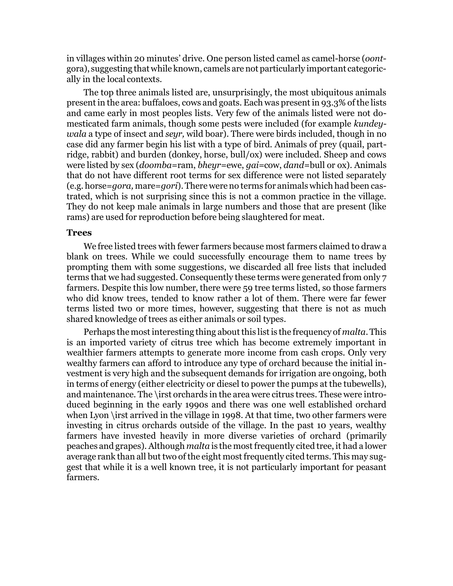in villages within 20 minutes' drive. One person listed camel as camel-horse (*oont*gora), suggesting that while known, camels arenot particularly important categorically in the local contexts.

The top three animals listed are, unsurprisingly, the most ubiquitous animals present in the area: buffaloes, cows and goats. Each was present in 93.3% of the lists and came early in most peoples lists. Very few of the animals listed were not domesticated farm animals, though some pests were included (for example *kundeywala* a type of insect and *seyr,* wild boar). There were birds included, though in no case did any farmer begin his list with a type of bird. Animals of prey (quail, partridge, rabbit) and burden (donkey, horse, bull/ox) were included. Sheep and cows were listed by sex (*doomba=*ram, *bheyr=*ewe, *gai=*cow, *dand=*bull or ox). Animals that do not have different root terms for sex difference were not listed separately (e.g. horse=*gora,* mare=*gori*).There were no terms for animals which had been castrated, which is not surprising since this is not a common practice in the village. They do not keep male animals in large numbers and those that are present (like rams) are used for reproduction before being slaughtered for meat.

#### **Trees**

We free listed trees with fewer farmers because most farmers claimed to draw a blank on trees. While we could successfully encourage them to name trees by prompting them with some suggestions, we discarded all free lists that included terms that we had suggested. Consequently these terms were generated from only 7 farmers. Despite this low number, there were 59 tree terms listed, so those farmers who did know trees, tended to know rather a lot of them. There were far fewer terms listed two or more times, however, suggesting that there is not as much shared knowledge of trees as either animals or soil types.

Perhaps the mostinteresting thing aboutthis listis the frequency of *malta*.This is an imported variety of citrus tree which has become extremely important in wealthier farmers attempts to generate more income from cash crops. Only very wealthy farmers can afford to introduce any type of orchard because the initial investment is very high and the subsequent demands for irrigation are ongoing, both in terms of energy (either electricity or diesel to power the pumps at the tubewells), and maintenance. The \irst orchards in the area were citrus trees. These were introduced beginning in the early 1990s and there was one well established orchard when Lyon \irst arrived in the village in 1998. At that time, two other farmers were investing in citrus orchards outside of the village. In the past 10 years, wealthy farmers have invested heavily in more diverse varieties of orchard (primarily peaches and grapes). Although *malta* is the most frequently cited tree, it had a lower average rank than all but two of the eight most frequently cited terms. This may suggest that while it is a well known tree, it is not particularly important for peasant farmers.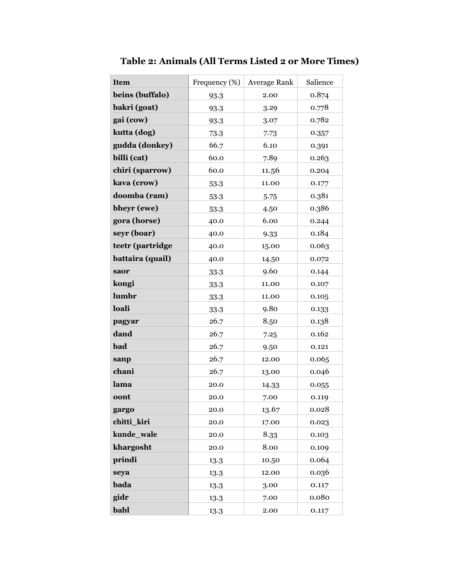| <b>Item</b>      | Frequency (%) | <b>Average Rank</b> | Salience |
|------------------|---------------|---------------------|----------|
| beins (buffalo)  | 93.3          | 2.00                | 0.874    |
| bakri (goat)     | 93.3          | 3.29                | 0.778    |
| gai (cow)        | 93.3          | 3.07                | 0.782    |
| kutta (dog)      | 73.3          | 7.73                | 0.357    |
| gudda (donkey)   | 66.7          | 6.10                | 0.391    |
| billi (cat)      | 60.0          | 7.89                | 0.263    |
| chiri (sparrow)  | 60.0          | 11.56               | 0.204    |
| kava (crow)      | 53.3          | 11.00               | 0.177    |
| doomba (ram)     | 53.3          | 5.75                | 0.381    |
| bheyr (ewe)      | 53.3          | 4.50                | 0.386    |
| gora (horse)     | 40.0          | 6.00                | 0.244    |
| seyr (boar)      | 40.0          | 9.33                | 0.184    |
| teetr (partridge | 40.0          | 15.00               | 0.063    |
| battaira (quail) | 40.0          | 14.50               | 0.072    |
| saor             | 33.3          | 9.60                | 0.144    |
| kongi            | 33.3          | 11.00               | 0.107    |
| lumbr            | 33.3          | 11.00               | 0.105    |
| loali            | 33.3          | 9.80                | 0.133    |
| pagyar           | 26.7          | 8.50                | 0.138    |
| dand             | 26.7          | 7.25                | 0.162    |
| bad              | 26.7          | 9.50                | 0.121    |
| sanp             | 26.7          | 12.00               | 0.065    |
| chani            | 26.7          | 13.00               | 0.046    |
| lama             | 20.0          | 14.33               | 0.055    |
| oont             | 20.0          | 7.00                | 0.119    |
| gargo            | 20.0          | 13.67               | 0.028    |
| chitti_kiri      | 20.0          | 17.00               | 0.023    |
| kunde_wale       | 20.0          | 8.33                | 0.103    |
| khargosht        | 20.0          | 8.00                | 0.109    |
| prindi           | 13.3          | 10.50               | 0.064    |
| seya             | 13.3          | 12.00               | 0.036    |
| bada             | 13.3          | 3.00                | 0.117    |
| gidr             | 13.3          | 7.00                | 0.080    |
| babl             | 13.3          | 2.00                | 0.117    |

**Table 2: Animals (All Terms Listed 2 or More Times)**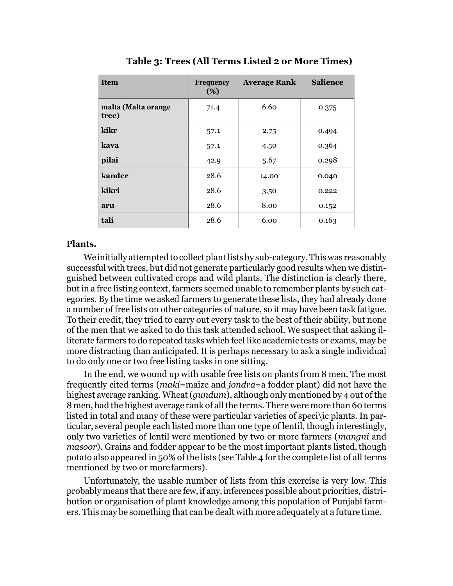| <b>Item</b>                  | <b>Frequency</b><br>(%) | <b>Average Rank</b> | <b>Salience</b> |  |
|------------------------------|-------------------------|---------------------|-----------------|--|
| malta (Malta orange<br>tree) | 71.4                    | 6.60                | 0.375           |  |
| kikr                         | 57.1                    | 2.75                | 0.494           |  |
| kava                         | 57.1                    | 4.50                | 0.364           |  |
| pilai                        | 42.9                    | 5.67                | 0.298           |  |
| kander                       | 28.6                    | 14.00               | 0.040           |  |
| kikri                        | 28.6                    | 3.50                | 0.222           |  |
| aru                          | 28.6                    | 8.00                | 0.152           |  |
| tali                         | 28.6                    | 6.00                | 0.163           |  |

**Table 3: Trees (All Terms Listed 2 or More Times)**

# **Plants.**

Weinitially attemptedto collect plantlists by sub-category.Thiswas reasonably successful with trees, but did not generate particularly good results when we distinguished between cultivated crops and wild plants. The distinction is clearly there, but in a free listing context, farmers seemed unable to remember plants by such categories. By the time we asked farmers to generate these lists, they had already done a number of free lists on other categories of nature, so it may have been task fatigue. To their credit, they tried to carry out every task to the best of their ability, but none of the men that we asked to do this task attended school. We suspect that asking illiterate farmers to do repeated tasks which feel like academic tests or exams, may be more distracting than anticipated. It is perhaps necessary to ask a single individual to do only one or two free listing tasks in one sitting.

In the end, we wound up with usable free lists on plants from 8 men. The most frequently cited terms (*maki*=maize and *jondra*=a fodder plant) did not have the highest average ranking. Wheat(*gundum*), although only mentioned by 4 out of the 8 men, had the highest average rank of all the terms. There were more than 60 terms listed in total and many of these were particular varieties of speci\ic plants. In particular, several people each listed more than one type of lentil, though interestingly, only two varieties of lentil were mentioned by two or more farmers (*mangni* and *masoor*). Grains and fodder appear to be the most important plants listed, though potato also appeared in 50% of the lists (see Table 4 for the complete list of all terms mentioned by two or morefarmers).

Unfortunately, the usable number of lists from this exercise is very low. This probably means that there are few,if any,inferences possible about priorities, distribution or organisation of plant knowledge among this population of Punjabi farmers. This may be something that can be dealt with more adequately at a future time.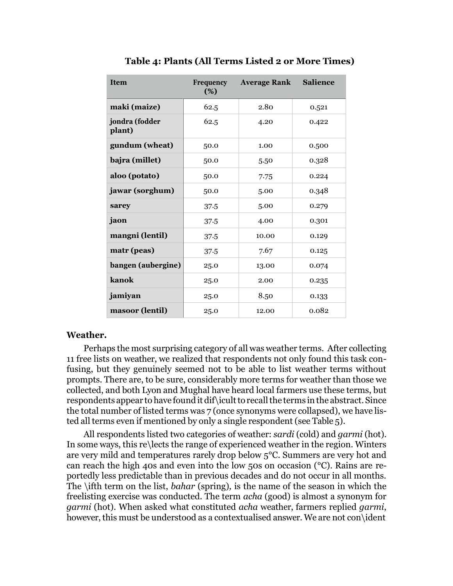| <b>Item</b>              | <b>Frequency</b><br>(%) | <b>Average Rank</b> | <b>Salience</b> |  |
|--------------------------|-------------------------|---------------------|-----------------|--|
| maki (maize)             | 62.5                    | 2.80                | 0.521           |  |
| jondra (fodder<br>plant) | 62.5                    | 4.20                | 0.422           |  |
| gundum (wheat)           | 50.0                    | 1.00                | 0.500           |  |
| bajra (millet)           | 50.0                    | 5.50                | 0.328           |  |
| aloo (potato)            | 50.0                    | 7.75                | 0.224           |  |
| jawar (sorghum)          | 50.0                    | 5.00                | 0.348           |  |
| sarey                    | 37.5                    | 5.00                | 0.279           |  |
| jaon                     | 37.5                    | 4.00                | 0.301           |  |
| mangni (lentil)          | 37.5                    | 10.00               | 0.129           |  |
| matr (peas)              | 37.5                    | 7.67                | 0.125           |  |
| bangen (aubergine)       | 25.0                    | 13.00               | 0.074           |  |
| kanok                    | 25.0                    | 2.00                | 0.235           |  |
| jamiyan                  | 25.0                    | 8.50                | 0.133           |  |
| masoor (lentil)          | 25.0                    | 12.00               | 0.082           |  |

**Table 4: Plants (All Terms Listed 2 or More Times)**

# **Weather.**

Perhaps the most surprising category of all was weather terms. After collecting 11 free lists on weather, we realized that respondents not only found this task confusing, but they genuinely seemed not to be able to list weather terms without prompts. There are, to be sure, considerably more terms for weather than those we collected, and both Lyon and Mughal have heard local farmers use these terms, but respondents appear to have found it dif \icult to recall the terms in the abstract. Since the total number of listed terms was 7 (once synonyms were collapsed), we have listed all terms even if mentioned by only a single respondent (see Table 5).

All respondents listed two categories of weather: *sardi* (cold) and *garmi* (hot). In some ways, this re\lects the range of experienced weather in the region. Winters are very mild and temperatures rarely drop below 5°C. Summers are very hot and can reach the high 40s and even into the low 50s on occasion (°C). Rains are reportedly less predictable than in previous decades and do not occur in all months. The \ifth term on the list, *bahar* (spring)*,* is the name of the season in which the freelisting exercise was conducted. The term *acha* (good) is almost a synonym for *garmi* (hot). When asked what constituted *acha* weather, farmers replied *garmi*, however, this must be understood as a contextualised answer. We are not con\ident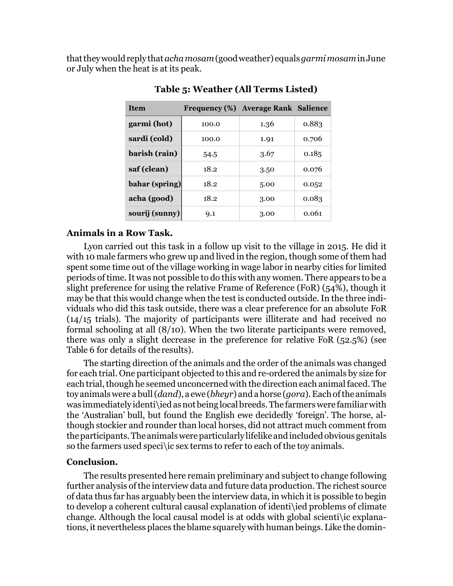thattheywouldreplythat*achamosam*(goodweather) equals*garmimosam*inJune or July when the heat is at its peak.

| <b>Item</b>    |       | Frequency (%) Average Rank Salience |       |
|----------------|-------|-------------------------------------|-------|
| garmi (hot)    | 100.0 | 1.36                                | 0.883 |
| sardi (cold)   | 100.0 | 1.91                                | 0.706 |
| barish (rain)  | 54.5  | 3.67                                | 0.185 |
| saf (clean)    | 18.2  | 3.50                                | 0.076 |
| bahar (spring) | 18.2  | 5.00                                | 0.052 |
| acha (good)    | 18.2  | 3.00                                | 0.083 |
| sourij (sunny) | 0.1   | 3.00                                | 0.061 |

**Table 5: Weather (All Terms Listed)**

# **Animals in a Row Task.**

Lyon carried out this task in a follow up visit to the village in 2015. He did it with 10 male farmers who grew up and lived in the region, though some of them had spent some time out of the village working in wage labor in nearby cities for limited periods of time.It was not possible to do this with any women. There appears to be a slight preference for using the relative Frame of Reference (FoR) (54%), though it may be that this would change when the test is conducted outside.In the three individuals who did this task outside, there was a clear preference for an absolute FoR (14/15 trials). The majority of participants were illiterate and had received no formal schooling at all (8/10). When the two literate participants were removed, there was only a slight decrease in the preference for relative FoR (52.5%) (see Table 6 for details of theresults).

The starting direction of the animals and the order of the animals was changed for each trial. One participant objected to this and re-ordered the animals by size for each trial, though he seemed unconcerned with the direction each animal faced. The toyanimalswere abull(*dand*), a ewe (*bheyr*) andahorse (*gora*).Eachofthe animals was immediately identi\iedasnotbeing localbreeds.The farmerswere familiarwith the 'Australian' bull, but found the English ewe decidedly 'foreign'. The horse, although stockier and rounder than local horses, did not attract much comment from theparticipants.The animalswereparticularly lifelike andincludedobvious genitals so the farmers used speci\ic sex terms to refer to each of the toy animals.

# **Conclusion.**

The results presented here remain preliminary and subject to change following further analysis of the interview data and future data production. The richest source of data thus far has arguably been the interview data, in which it is possible to begin to develop a coherent cultural causal explanation of identi\ied problems of climate change. Although the local causal model is at odds with global scienti\ic explanations, it nevertheless places the blame squarely with human beings. Like the domin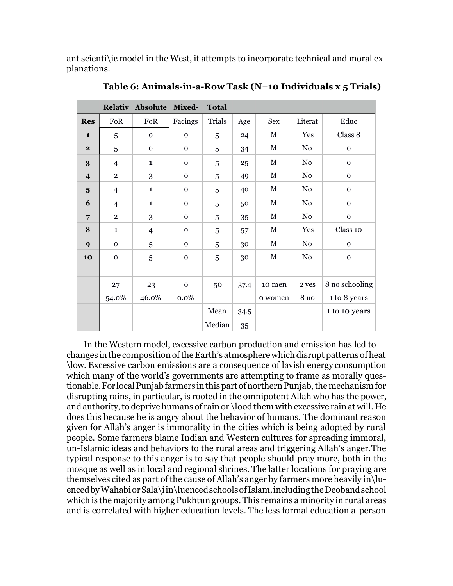ant scienti\ic model in the West, it attempts to incorporate technical and moral explanations.

|                         |                | Relativ Absolute         | Mixed-       | <b>Total</b> |      |             |                  |                |
|-------------------------|----------------|--------------------------|--------------|--------------|------|-------------|------------------|----------------|
| <b>Res</b>              | FoR            | FoR                      | Facings      | Trials       | Age  | <b>Sex</b>  | Literat          | Educ           |
| $\mathbf{1}$            | 5              | $\mathbf 0$              | $\mathbf 0$  | 5            | 24   | $\mathbf M$ | Yes              | Class 8        |
| $\mathbf{2}$            | 5              | $\mathbf 0$              | $\mathbf{O}$ | 5            | 34   | $\mathbf M$ | No               | $\mathbf{0}$   |
| 3                       | $\overline{4}$ | $\mathbf{1}$             | $\mathbf 0$  | 5            | 25   | $\mathbf M$ | No               | $\mathbf 0$    |
| $\overline{4}$          | $\overline{2}$ | 3                        | $\mathbf 0$  | 5            | 49   | $\mathbf M$ | No               | $\mathbf{0}$   |
| $\overline{\mathbf{5}}$ | $\overline{4}$ | $\mathbf{1}$             | $\mathbf 0$  | 5            | 40   | $\mathbf M$ | N <sub>o</sub>   | $\mathbf 0$    |
| 6                       | $\overline{4}$ | $\mathbf{1}$             | $\mathbf 0$  | 5            | 50   | $\mathbf M$ | No               | $\mathbf 0$    |
| 7                       | $\overline{2}$ | 3                        | $\mathbf{O}$ | 5            | 35   | $\mathbf M$ | No               | $\mathbf{0}$   |
| 8                       | $\mathbf{1}$   | $\overline{\mathcal{A}}$ | $\mathbf 0$  | 5            | 57   | $\mathbf M$ | Yes              | Class 10       |
| 9                       | $\mathbf 0$    | 5                        | $\mathbf 0$  | 5            | 30   | $\mathbf M$ | No               | $\mathbf 0$    |
| 10                      | $\mathbf 0$    | 5                        | $\mathbf 0$  | 5            | 30   | $\mathbf M$ | No               | $\mathbf{0}$   |
|                         |                |                          |              |              |      |             |                  |                |
|                         | 27             | 23                       | $\mathbf 0$  | 50           | 37.4 | 10 men      | 2 yes            | 8 no schooling |
|                         | 54.0%          | 46.0%                    | 0.0%         |              |      | o women     | $8\,\mathrm{no}$ | 1 to 8 years   |
|                         |                |                          |              | Mean         | 34.5 |             |                  | 1 to 10 years  |
|                         |                |                          |              | Median       | 35   |             |                  |                |

**Table 6: Animals-in-a-Row Task (N=10 Individuals x 5 Trials)**

In the Western model, excessive carbon production and emission has led to changes in the composition of the Earth's atmosphere which disrupt patterns of heat \low. Excessive carbon emissions are a consequence of lavish energy consumption which many of the world's governments are attempting to frame as morally questionable. For local Punjab farmers in this part of northern Punjab, the mechanism for disrupting rains, in particular, is rooted in the omnipotent Allah who has the power, and authority, to deprive humans of rain or \lood them with excessive rain at will. He does this because he is angry about the behavior of humans. The dominant reason given for Allah's anger is immorality in the cities which is being adopted by rural people. Some farmers blame Indian and Western cultures for spreading immoral, un-Islamic ideas and behaviors to the rural areas and triggering Allah's anger.The typical response to this anger is to say that people should pray more, both in the mosque as well as in local and regional shrines. The latter locations for praying are themselves cited as part of the cause of Allah's anger by farmers more heavily in\luencedbyWahabiorSala\iin\luencedschoolsofIslam,includingtheDeobandschool which is the majority among Pukhtun groups.This remains a minority in rural areas and is correlated with higher education levels. The less formal education a person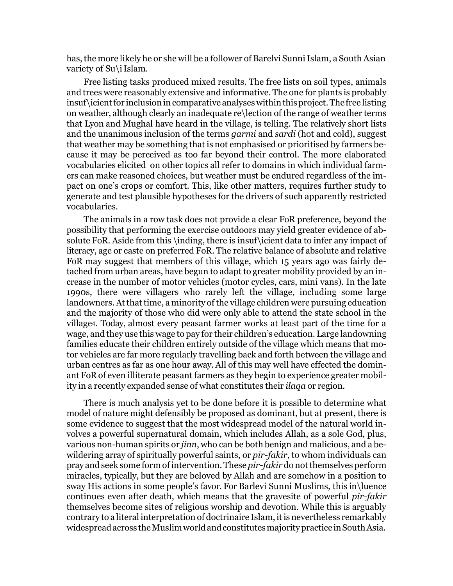has, the more likely he or she will be a follower of Barelvi Sunni Islam, a South Asian variety of Su\iIslam.

Free listing tasks produced mixed results. The free lists on soil types, animals and trees were reasonably extensive and informative. The one for plants is probably insuf\icientfor inclusionincomparative analyseswithinthisproject.The free listing on weather, although clearly an inadequate re\lection of the range of weather terms that Lyon and Mughal have heard in the village, is telling. The relatively short lists and the unanimous inclusion of the terms *garmi* and *sardi* (hot and cold), suggest that weather may be something that is not emphasised or prioritised by farmers because it may be perceived as too far beyond their control. The more elaborated vocabularies elicited on other topics all refer to domains in which individual farmers can make reasoned choices, but weather must be endured regardless of the impact on one's crops or comfort. This, like other matters, requires further study to generate and test plausible hypotheses for the drivers of such apparently restricted vocabularies.

The animals in a row task does not provide a clear FoR preference, beyond the possibility that performing the exercise outdoors may yield greater evidence of absolute FoR. Aside from this \inding, there is insuf\icient data to infer any impact of literacy, age or caste on preferred FoR. The relative balance of absolute and relative FoR may suggest that members of this village, which 15 years ago was fairly detached from urban areas, have begun to adapt to greater mobility provided by an increase in the number of motor vehicles (motor cycles, cars, mini vans). In the late 1990s, there were villagers who rarely left the village, including some large landowners. At that time, a minority of the village children were pursuing education and the majority of those who did were only able to attend the state school in the village[4](#page-17-3). Today, almost every peasant farmer works at least part of the time for a wage, and they use this wage to pay for their children's education. Large landowning families educate their children entirely outside of the village which means that motor vehicles are far more regularly travelling back and forth between the village and urban centres as far as one hour away. All of this may well have effected the dominant FoR of even illiterate peasant farmers as they begin to experience greater mobility in a recently expanded sense of what constitutes their *ilaqa* or region.

There is much analysis yet to be done before it is possible to determine what model of nature might defensibly be proposed as dominant, but at present, there is some evidence to suggest that the most widespread model of the natural world involves a powerful supernatural domain, which includes Allah, as a sole God, plus, various non-human spirits or *jinn*, who can be both benign and malicious, and a bewildering array of spiritually powerful saints, or *pir-fakir*, to whom individuals can pray and seek some form of intervention. These *pir-fakir* do not themselves perform miracles, typically, but they are beloved by Allah and are somehow in a position to sway His actions in some people's favor. For Barlevi Sunni Muslims, this in\luence continues even after death, which means that the gravesite of powerful *pir-fakir*  themselves become sites of religious worship and devotion. While this is arguably contrary to a literal interpretation of doctrinaire Islam, it is nevertheless remarkably widespread across the Muslim world and constitutes majority practice in South Asia.